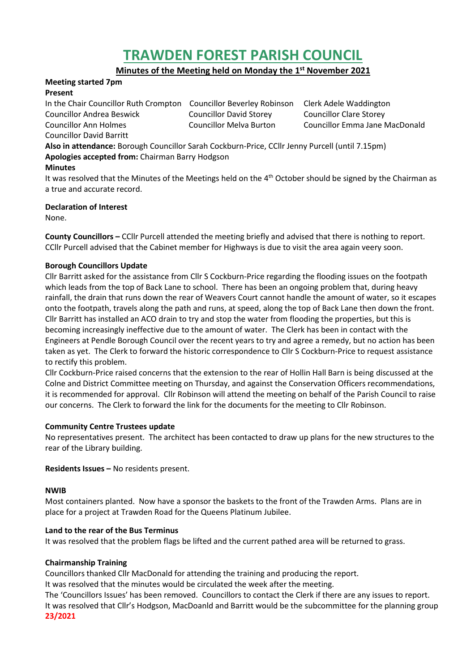# **TRAWDEN FOREST PARISH COUNCIL**

**Minutes of the Meeting held on Monday the 1 st November 2021**

#### **Meeting started 7pm Present**

In the Chair Councillor Ruth Crompton Councillor Beverley Robinson Clerk Adele Waddington Councillor Andrea Beswick Councillor David Storey Councillor Clare Storey Councillor Ann Holmes Councillor Melva Burton Councillor Emma Jane MacDonald Councillor David Barritt

**Also in attendance:** Borough Councillor Sarah Cockburn-Price, CCllr Jenny Purcell (until 7.15pm) **Apologies accepted from:** Chairman Barry Hodgson

# **Minutes**

It was resolved that the Minutes of the Meetings held on the  $4<sup>th</sup>$  October should be signed by the Chairman as a true and accurate record.

# **Declaration of Interest**

None.

**County Councillors –** CCllr Purcell attended the meeting briefly and advised that there is nothing to report. CCllr Purcell advised that the Cabinet member for Highways is due to visit the area again veery soon.

## **Borough Councillors Update**

Cllr Barritt asked for the assistance from Cllr S Cockburn-Price regarding the flooding issues on the footpath which leads from the top of Back Lane to school. There has been an ongoing problem that, during heavy rainfall, the drain that runs down the rear of Weavers Court cannot handle the amount of water, so it escapes onto the footpath, travels along the path and runs, at speed, along the top of Back Lane then down the front. Cllr Barritt has installed an ACO drain to try and stop the water from flooding the properties, but this is becoming increasingly ineffective due to the amount of water. The Clerk has been in contact with the Engineers at Pendle Borough Council over the recent years to try and agree a remedy, but no action has been taken as yet. The Clerk to forward the historic correspondence to Cllr S Cockburn-Price to request assistance to rectify this problem.

Cllr Cockburn-Price raised concerns that the extension to the rear of Hollin Hall Barn is being discussed at the Colne and District Committee meeting on Thursday, and against the Conservation Officers recommendations, it is recommended for approval. Cllr Robinson will attend the meeting on behalf of the Parish Council to raise our concerns. The Clerk to forward the link for the documents for the meeting to Cllr Robinson.

## **Community Centre Trustees update**

No representatives present. The architect has been contacted to draw up plans for the new structures to the rear of the Library building.

**Residents Issues –** No residents present.

## **NWIB**

Most containers planted. Now have a sponsor the baskets to the front of the Trawden Arms. Plans are in place for a project at Trawden Road for the Queens Platinum Jubilee.

## **Land to the rear of the Bus Terminus**

It was resolved that the problem flags be lifted and the current pathed area will be returned to grass.

## **Chairmanship Training**

Councillors thanked Cllr MacDonald for attending the training and producing the report.

It was resolved that the minutes would be circulated the week after the meeting.

The 'Councillors Issues' has been removed. Councillors to contact the Clerk if there are any issues to report. It was resolved that Cllr's Hodgson, MacDoanld and Barritt would be the subcommittee for the planning group **23/2021**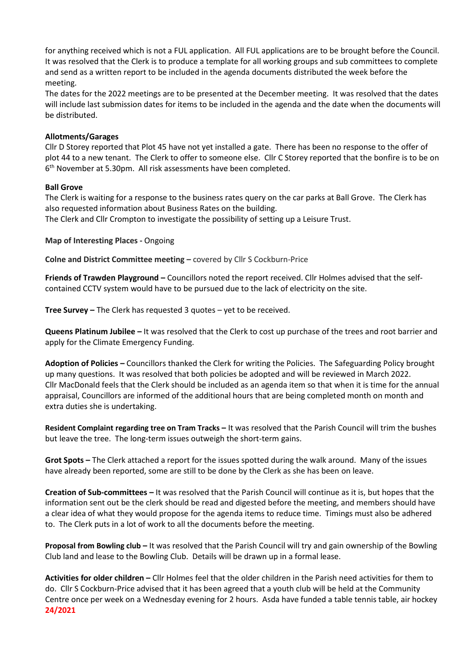for anything received which is not a FUL application. All FUL applications are to be brought before the Council. It was resolved that the Clerk is to produce a template for all working groups and sub committees to complete and send as a written report to be included in the agenda documents distributed the week before the meeting.

The dates for the 2022 meetings are to be presented at the December meeting. It was resolved that the dates will include last submission dates for items to be included in the agenda and the date when the documents will be distributed.

#### **Allotments/Garages**

Cllr D Storey reported that Plot 45 have not yet installed a gate. There has been no response to the offer of plot 44 to a new tenant. The Clerk to offer to someone else. Cllr C Storey reported that the bonfire is to be on 6 th November at 5.30pm. All risk assessments have been completed.

#### **Ball Grove**

The Clerk is waiting for a response to the business rates query on the car parks at Ball Grove. The Clerk has also requested information about Business Rates on the building.

The Clerk and Cllr Crompton to investigate the possibility of setting up a Leisure Trust.

**Map of Interesting Places -** Ongoing

**Colne and District Committee meeting –** covered by Cllr S Cockburn-Price

**Friends of Trawden Playground –** Councillors noted the report received. Cllr Holmes advised that the selfcontained CCTV system would have to be pursued due to the lack of electricity on the site.

**Tree Survey –** The Clerk has requested 3 quotes – yet to be received.

**Queens Platinum Jubilee –** It was resolved that the Clerk to cost up purchase of the trees and root barrier and apply for the Climate Emergency Funding.

**Adoption of Policies –** Councillors thanked the Clerk for writing the Policies. The Safeguarding Policy brought up many questions. It was resolved that both policies be adopted and will be reviewed in March 2022. Cllr MacDonald feels that the Clerk should be included as an agenda item so that when it is time for the annual appraisal, Councillors are informed of the additional hours that are being completed month on month and extra duties she is undertaking.

**Resident Complaint regarding tree on Tram Tracks –** It was resolved that the Parish Council will trim the bushes but leave the tree. The long-term issues outweigh the short-term gains.

**Grot Spots –** The Clerk attached a report for the issues spotted during the walk around. Many of the issues have already been reported, some are still to be done by the Clerk as she has been on leave.

**Creation of Sub-committees –** It was resolved that the Parish Council will continue as it is, but hopes that the information sent out be the clerk should be read and digested before the meeting, and members should have a clear idea of what they would propose for the agenda items to reduce time. Timings must also be adhered to. The Clerk puts in a lot of work to all the documents before the meeting.

**Proposal from Bowling club –** It was resolved that the Parish Council will try and gain ownership of the Bowling Club land and lease to the Bowling Club. Details will be drawn up in a formal lease.

**Activities for older children –** Cllr Holmes feel that the older children in the Parish need activities for them to do. Cllr S Cockburn-Price advised that it has been agreed that a youth club will be held at the Community Centre once per week on a Wednesday evening for 2 hours. Asda have funded a table tennis table, air hockey **24/2021**